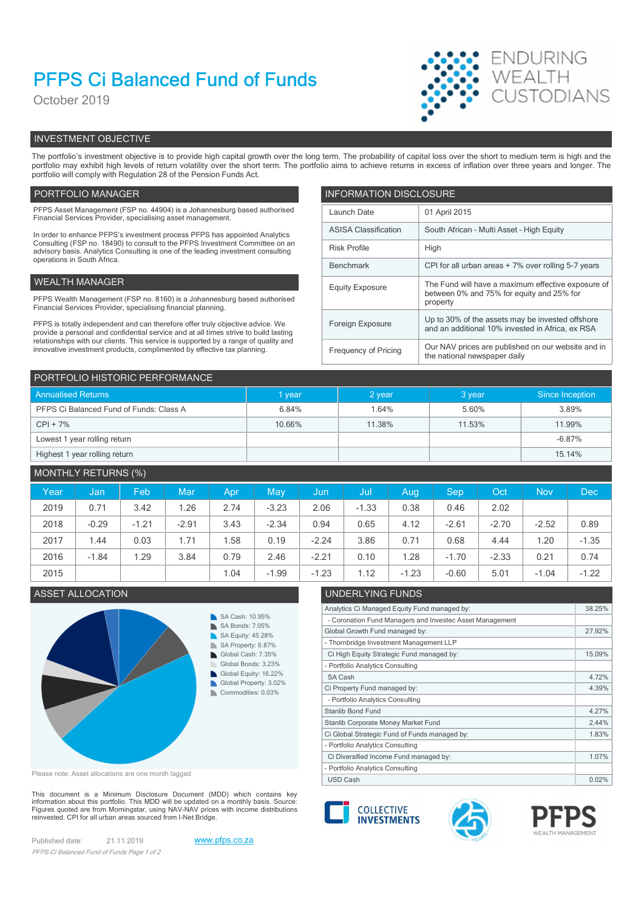# PFPS Ci Balanced Fund of Funds

October 2019



# INVESTMENT OBJECTIVE

The portfolio's investment objective is to provide high capital growth over the long term. The probability of capital loss over the short to medium term is high and the portfolio may exhibit high levels of return volatility over the short term. The portfolio aims to achieve returns in excess of inflation over three years and longer. The portfolio will comply with Regulation 28 of the Pension Funds Act.

# PORTFOLIO MANAGER **INFORMATION DISCLOSURE**

| PFPS Asset Management (FSP no. 44904) is a Johannesburg based authorised<br>Financial Services Provider, specialising asset management.                                | Launch Date                 | 01 April 2015                                                                                        |  |
|------------------------------------------------------------------------------------------------------------------------------------------------------------------------|-----------------------------|------------------------------------------------------------------------------------------------------|--|
| In order to enhance PFPS's investment process PFPS has appointed Analytics                                                                                             | <b>ASISA Classification</b> | South African - Multi Asset - High Equity                                                            |  |
| Consulting (FSP no. 18490) to consult to the PFPS Investment Committee on an<br>advisory basis. Analytics Consulting is one of the leading investment consulting       | <b>Risk Profile</b>         | High                                                                                                 |  |
| operations in South Africa.                                                                                                                                            | Benchmark                   | CPI for all urban areas + 7% over rolling 5-7 years                                                  |  |
| WEALTH MANAGER                                                                                                                                                         | <b>Equity Exposure</b>      | The Fund will have a maximum effective exposure of                                                   |  |
| PFPS Wealth Management (FSP no. 8160) is a Johannesburg based authorised<br>Financial Services Provider, specialising financial planning.                              |                             | between 0% and 75% for equity and 25% for<br>property                                                |  |
| PFPS is totally independent and can therefore offer truly objective advice. We<br>provide a personal and confidential service and at all times strive to build lasting | Foreign Exposure            | Up to 30% of the assets may be invested offshore<br>and an additional 10% invested in Africa, ex RSA |  |
| relationships with our clients. This service is supported by a range of quality and<br>innovative investment products, complimented by effective tax planning.         | Frequency of Pricing        | Our NAV prices are published on our website and in<br>the national newspaper daily                   |  |

| PORTFOLIO HISTORIC PERFORMANCE          |        |          |        |                 |  |  |  |  |
|-----------------------------------------|--------|----------|--------|-----------------|--|--|--|--|
| <b>Annualised Returns</b>               | I year | $2$ year | 3 year | Since Inception |  |  |  |  |
| PFPS Ci Balanced Fund of Funds: Class A | 6.84%  | 1.64%    | 5.60%  | 3.89%           |  |  |  |  |
| $CPI + 7%$                              | 10.66% | 11.38%   | 11.53% | 11.99%          |  |  |  |  |
| Lowest 1 year rolling return            |        |          |        | $-6.87%$        |  |  |  |  |
| Highest 1 year rolling return           |        |          |        | 15.14%          |  |  |  |  |

# MONTHLY RETURNS (%)

| Year | Jan <sub>i</sub> | Feb         | Mar     | Apr. | May     | Jun,    | Juli    | Aug     | <b>Sep</b> | Oct     | <b>Nov</b> | <b>Dec</b> |
|------|------------------|-------------|---------|------|---------|---------|---------|---------|------------|---------|------------|------------|
| 2019 | 0.71             | 3.42        | .26     | 2.74 | $-3.23$ | 2.06    | $-1.33$ | 0.38    | 0.46       | 2.02    |            |            |
| 2018 | $-0.29$          | $-1.21$     | $-2.91$ | 3.43 | $-2.34$ | 0.94    | 0.65    | 4.12    | $-2.61$    | $-2.70$ | $-2.52$    | 0.89       |
| 2017 | 1.44             | 0.03        | 1.71    | .58  | 0.19    | $-2.24$ | 3.86    | 0.71    | 0.68       | 4.44    | 1.20       | $-1.35$    |
| 2016 | $-1.84$          | <b>1.29</b> | 3.84    | 0.79 | 2.46    | $-2.21$ | 0.10    | . 28    | $-1.70$    | $-2.33$ | 0.21       | 0.74       |
| 2015 |                  |             |         | 1.04 | $-1.99$ | $-1.23$ | 1.12    | $-1.23$ | $-0.60$    | 5.01    | $-1.04$    | $-1.22$    |

## ASSET ALLOCATION UNDERLYING FUNDS



Please note: Asset allocations are one month lagged

This document is a Minimum Disclosure Document (MDD) which contains key<br>information about this portfolio. This MDD will be updated on a monthly basis. Source:<br>Figures quoted are from Morningstar, using NAV-NAV prices with reinvested. CPI for all urban areas sourced from I-Net Bridge.

Published date: 21.11.2019 www.pfps.co.za PFPS Ci Balanced Fund of Funds Page 1 of 2





Analytics Ci Managed Equity Fund managed by: 38.25%

Global Growth Fund managed by: 27.92%

Ci High Equity Strategic Fund managed by: 15.09%

Ci Property Fund managed by: 4.39%

Ci Diversified Income Fund managed by: 1.07%

Ci Global Strategic Fund of Funds managed by: 1.83% Stanlib Corporate Money Market Fund 2.44%

- Coronation Fund Managers and Investec Asset Management

- Thornbridge Investment Management LLP

- Portfolio Analytics Consulting

- Portfolio Analytics Consulting

- Portfolio Analytics Consulting

- Portfolio Analytics Consulting



SA Cash **4.72%** 

Stanlib Bond Fund 4.27%

USD Cash 0.02%